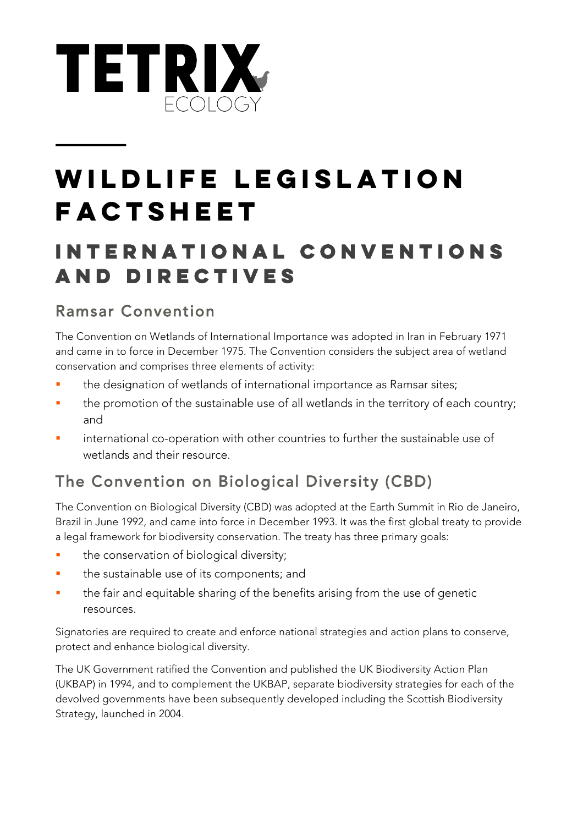

# **WILDLIFE LEGISLATION FACTSHEET**

### **INTERNATIONAL CONVENTIONS AND DIRECTIVES**

#### Ramsar Convention

The Convention on Wetlands of International Importance was adopted in Iran in February 1971 and came in to force in December 1975. The Convention considers the subject area of wetland conservation and comprises three elements of activity:

- the designation of wetlands of international importance as Ramsar sites;
- the promotion of the sustainable use of all wetlands in the territory of each country; and
- international co-operation with other countries to further the sustainable use of wetlands and their resource.

#### The Convention on Biological Diversity (CBD)

The Convention on Biological Diversity (CBD) was adopted at the Earth Summit in Rio de Janeiro, Brazil in June 1992, and came into force in December 1993. It was the first global treaty to provide a legal framework for biodiversity conservation. The treaty has three primary goals:

- **•** the conservation of biological diversity;
- **•** the sustainable use of its components; and
- the fair and equitable sharing of the benefits arising from the use of genetic resources.

Signatories are required to create and enforce national strategies and action plans to conserve, protect and enhance biological diversity.

The UK Government ratified the Convention and published the UK Biodiversity Action Plan (UKBAP) in 1994, and to complement the UKBAP, separate biodiversity strategies for each of the devolved governments have been subsequently developed including the Scottish Biodiversity Strategy, launched in 2004.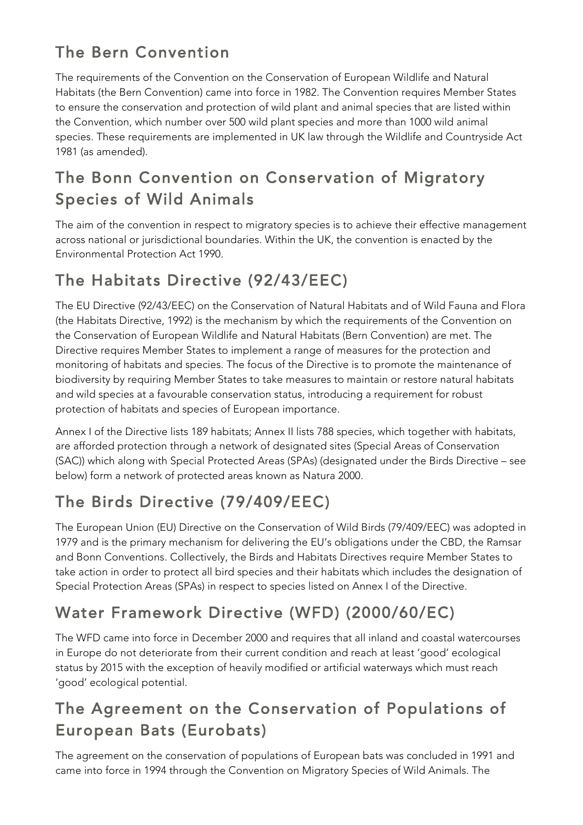### The Bern Convention

The requirements of the Convention on the Conservation of European Wildlife and Natural Habitats (the Bern Convention) came into force in 1982. The Convention requires Member States to ensure the conservation and protection of wild plant and animal species that are listed within the Convention, which number over 500 wild plant species and more than 1000 wild animal species. These requirements are implemented in UK law through the Wildlife and Countryside Act 1981 (as amended).

### The Bonn Convention on Conservation of Migratory Species of Wild Animals

The aim of the convention in respect to migratory species is to achieve their effective management across national or jurisdictional boundaries. Within the UK, the convention is enacted by the Environmental Protection Act 1990.

### The Habitats Directive (92/43/EEC)

The EU Directive (92/43/EEC) on the Conservation of Natural Habitats and of Wild Fauna and Flora (the Habitats Directive, 1992) is the mechanism by which the requirements of the Convention on the Conservation of European Wildlife and Natural Habitats (Bern Convention) are met. The Directive requires Member States to implement a range of measures for the protection and monitoring of habitats and species. The focus of the Directive is to promote the maintenance of biodiversity by requiring Member States to take measures to maintain or restore natural habitats and wild species at a favourable conservation status, introducing a requirement for robust protection of habitats and species of European importance.

Annex I of the Directive lists 189 habitats; Annex II lists 788 species, which together with habitats, are afforded protection through a network of designated sites (Special Areas of Conservation (SAC)) which along with Special Protected Areas (SPAs) (designated under the Birds Directive – see below) form a network of protected areas known as Natura 2000.

### The Birds Directive (79/409/EEC)

The European Union (EU) Directive on the Conservation of Wild Birds (79/409/EEC) was adopted in 1979 and is the primary mechanism for delivering the EU's obligations under the CBD, the Ramsar and Bonn Conventions. Collectively, the Birds and Habitats Directives require Member States to take action in order to protect all bird species and their habitats which includes the designation of Special Protection Areas (SPAs) in respect to species listed on Annex I of the Directive.

### Water Framework Directive (WFD) (2000/60/EC)

The WFD came into force in December 2000 and requires that all inland and coastal watercourses in Europe do not deteriorate from their current condition and reach at least 'good' ecological status by 2015 with the exception of heavily modified or artificial waterways which must reach 'good' ecological potential.

### The Agreement on the Conservation of Populations of European Bats (Eurobats)

The agreement on the conservation of populations of European bats was concluded in 1991 and came into force in 1994 through the Convention on Migratory Species of Wild Animals. The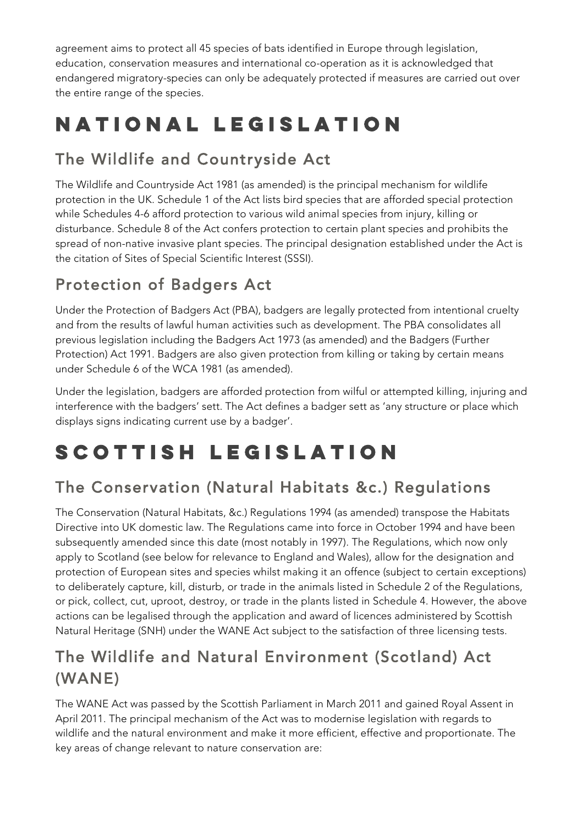agreement aims to protect all 45 species of bats identified in Europe through legislation, education, conservation measures and international co-operation as it is acknowledged that endangered migratory-species can only be adequately protected if measures are carried out over the entire range of the species.

# **NATIONAL LEGISLATION**

### The Wildlife and Countryside Act

The Wildlife and Countryside Act 1981 (as amended) is the principal mechanism for wildlife protection in the UK. Schedule 1 of the Act lists bird species that are afforded special protection while Schedules 4-6 afford protection to various wild animal species from injury, killing or disturbance. Schedule 8 of the Act confers protection to certain plant species and prohibits the spread of non-native invasive plant species. The principal designation established under the Act is the citation of Sites of Special Scientific Interest (SSSI).

### Protection of Badgers Act

Under the Protection of Badgers Act (PBA), badgers are legally protected from intentional cruelty and from the results of lawful human activities such as development. The PBA consolidates all previous legislation including the Badgers Act 1973 (as amended) and the Badgers (Further Protection) Act 1991. Badgers are also given protection from killing or taking by certain means under Schedule 6 of the WCA 1981 (as amended).

Under the legislation, badgers are afforded protection from wilful or attempted killing, injuring and interference with the badgers' sett. The Act defines a badger sett as 'any structure or place which displays signs indicating current use by a badger'.

# **SCOTTISH LEGISLATION**

### The Conservation (Natural Habitats &c.) Regulations

The Conservation (Natural Habitats, &c.) Regulations 1994 (as amended) transpose the Habitats Directive into UK domestic law. The Regulations came into force in October 1994 and have been subsequently amended since this date (most notably in 1997). The Regulations, which now only apply to Scotland (see below for relevance to England and Wales), allow for the designation and protection of European sites and species whilst making it an offence (subject to certain exceptions) to deliberately capture, kill, disturb, or trade in the animals listed in Schedule 2 of the Regulations, or pick, collect, cut, uproot, destroy, or trade in the plants listed in Schedule 4. However, the above actions can be legalised through the application and award of licences administered by Scottish Natural Heritage (SNH) under the WANE Act subject to the satisfaction of three licensing tests.

### The Wildlife and Natural Environment (Scotland) Act (WANE)

The WANE Act was passed by the Scottish Parliament in March 2011 and gained Royal Assent in April 2011. The principal mechanism of the Act was to modernise legislation with regards to wildlife and the natural environment and make it more efficient, effective and proportionate. The key areas of change relevant to nature conservation are: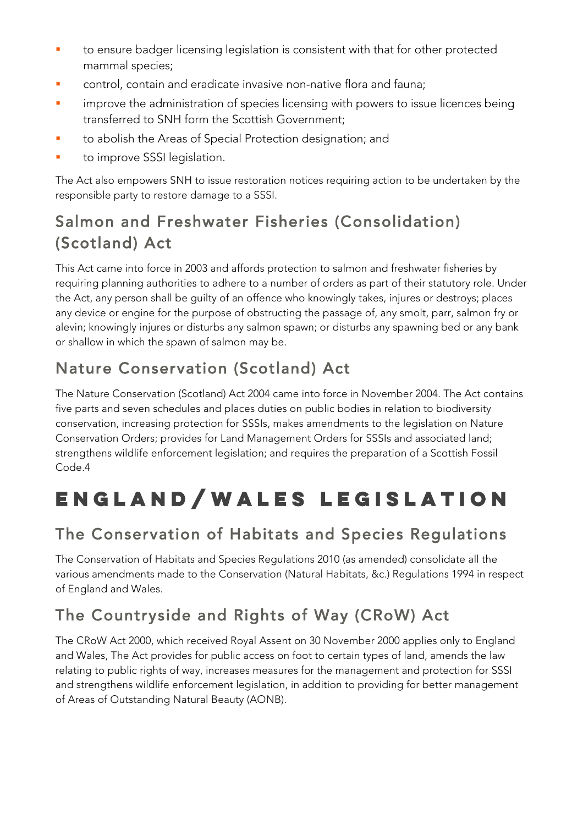- to ensure badger licensing legislation is consistent with that for other protected mammal species;
- control, contain and eradicate invasive non-native flora and fauna;
- improve the administration of species licensing with powers to issue licences being transferred to SNH form the Scottish Government;
- **•** to abolish the Areas of Special Protection designation; and
- to improve SSSI legislation.

The Act also empowers SNH to issue restoration notices requiring action to be undertaken by the responsible party to restore damage to a SSSI.

#### Salmon and Freshwater Fisheries (Consolidation) (Scotland) Act

This Act came into force in 2003 and affords protection to salmon and freshwater fisheries by requiring planning authorities to adhere to a number of orders as part of their statutory role. Under the Act, any person shall be guilty of an offence who knowingly takes, injures or destroys; places any device or engine for the purpose of obstructing the passage of, any smolt, parr, salmon fry or alevin; knowingly injures or disturbs any salmon spawn; or disturbs any spawning bed or any bank or shallow in which the spawn of salmon may be.

### Nature Conservation (Scotland) Act

The Nature Conservation (Scotland) Act 2004 came into force in November 2004. The Act contains five parts and seven schedules and places duties on public bodies in relation to biodiversity conservation, increasing protection for SSSIs, makes amendments to the legislation on Nature Conservation Orders; provides for Land Management Orders for SSSIs and associated land; strengthens wildlife enforcement legislation; and requires the preparation of a Scottish Fossil Code.4

# **ENGLAND/WALES LEGISLATION**

### The Conservation of Habitats and Species Regulations

The Conservation of Habitats and Species Regulations 2010 (as amended) consolidate all the various amendments made to the Conservation (Natural Habitats, &c.) Regulations 1994 in respect of England and Wales.

### The Countryside and Rights of Way (CRoW) Act

The CRoW Act 2000, which received Royal Assent on 30 November 2000 applies only to England and Wales, The Act provides for public access on foot to certain types of land, amends the law relating to public rights of way, increases measures for the management and protection for SSSI and strengthens wildlife enforcement legislation, in addition to providing for better management of Areas of Outstanding Natural Beauty (AONB).